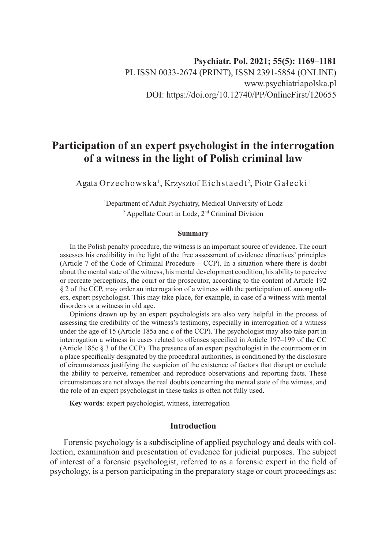# **Participation of an expert psychologist in the interrogation of a witness in the light of Polish criminal law**

Agata Orzechowska <sup>1</sup>, Krzysztof Eichstaedt <sup>2</sup>, Piotr Gałecki <sup>1</sup>

1 Department of Adult Psychiatry, Medical University of Lodz <sup>2</sup> Appellate Court in Lodz, 2<sup>nd</sup> Criminal Division

#### **Summary**

In the Polish penalty procedure, the witness is an important source of evidence. The court assesses his credibility in the light of the free assessment of evidence directives' principles (Article 7 of the Code of Criminal Procedure – CCP). In a situation where there is doubt about the mental state of the witness, his mental development condition, his ability to perceive or recreate perceptions, the court or the prosecutor, according to the content of Article 192 § 2 of the CCP, may order an interrogation of a witness with the participation of, among others, expert psychologist. This may take place, for example, in case of a witness with mental disorders or a witness in old age.

Opinions drawn up by an expert psychologists are also very helpful in the process of assessing the credibility of the witness's testimony, especially in interrogation of a witness under the age of 15 (Article 185a and c of the CCP). The psychologist may also take part in interrogation a witness in cases related to offenses specified in Article 197–199 of the CC (Article 185c § 3 of the CCP). The presence of an expert psychologist in the courtroom or in a place specifically designated by the procedural authorities, is conditioned by the disclosure of circumstances justifying the suspicion of the existence of factors that disrupt or exclude the ability to perceive, remember and reproduce observations and reporting facts. These circumstances are not always the real doubts concerning the mental state of the witness, and the role of an expert psychologist in these tasks is often not fully used.

**Key words**: expert psychologist, witness, interrogation

## **Introduction**

Forensic psychology is a subdiscipline of applied psychology and deals with collection, examination and presentation of evidence for judicial purposes. The subject of interest of a forensic psychologist, referred to as a forensic expert in the field of psychology, is a person participating in the preparatory stage or court proceedings as: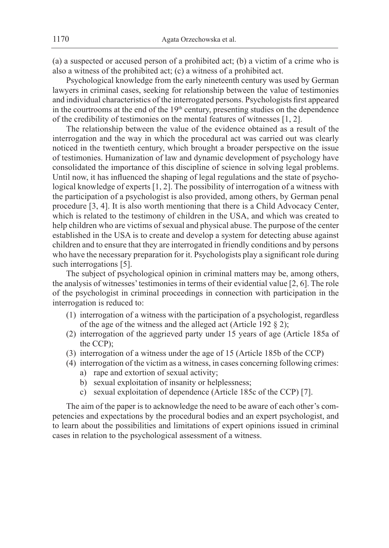(a) a suspected or accused person of a prohibited act; (b) a victim of a crime who is also a witness of the prohibited act; (c) a witness of a prohibited act.

Psychological knowledge from the early nineteenth century was used by German lawyers in criminal cases, seeking for relationship between the value of testimonies and individual characteristics of the interrogated persons. Psychologists first appeared in the courtrooms at the end of the  $19<sup>th</sup>$  century, presenting studies on the dependence of the credibility of testimonies on the mental features of witnesses [1, 2].

The relationship between the value of the evidence obtained as a result of the interrogation and the way in which the procedural act was carried out was clearly noticed in the twentieth century, which brought a broader perspective on the issue of testimonies. Humanization of law and dynamic development of psychology have consolidated the importance of this discipline of science in solving legal problems. Until now, it has influenced the shaping of legal regulations and the state of psychological knowledge of experts [1, 2]. The possibility of interrogation of a witness with the participation of a psychologist is also provided, among others, by German penal procedure [3, 4]. It is also worth mentioning that there is a Child Advocacy Center, which is related to the testimony of children in the USA, and which was created to help children who are victims of sexual and physical abuse. The purpose of the center established in the USA is to create and develop a system for detecting abuse against children and to ensure that they are interrogated in friendly conditions and by persons who have the necessary preparation for it. Psychologists play a significant role during such interrogations [5].

The subject of psychological opinion in criminal matters may be, among others, the analysis of witnesses' testimonies in terms of their evidential value [2, 6]. The role of the psychologist in criminal proceedings in connection with participation in the interrogation is reduced to:

- (1) interrogation of a witness with the participation of a psychologist, regardless of the age of the witness and the alleged act (Article 192 § 2);
- (2) interrogation of the aggrieved party under 15 years of age (Article 185a of the CCP);
- (3) interrogation of a witness under the age of 15 (Article 185b of the CCP)
- (4) interrogation of the victim as a witness, in cases concerning following crimes:
	- a) rape and extortion of sexual activity;
	- b) sexual exploitation of insanity or helplessness;
	- c) sexual exploitation of dependence (Article 185c of the CCP) [7].

The aim of the paper is to acknowledge the need to be aware of each other's competencies and expectations by the procedural bodies and an expert psychologist, and to learn about the possibilities and limitations of expert opinions issued in criminal cases in relation to the psychological assessment of a witness.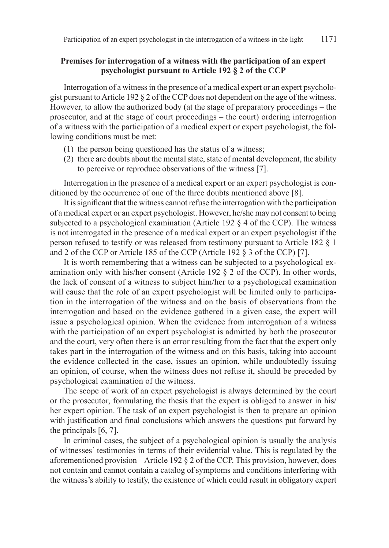# **Premises for interrogation of a witness with the participation of an expert psychologist pursuant to Article 192 § 2 of the CCP**

Interrogation of a witness in the presence of a medical expert or an expert psychologist pursuant to Article 192 § 2 of the CCP does not dependent on the age of the witness. However, to allow the authorized body (at the stage of preparatory proceedings – the prosecutor, and at the stage of court proceedings – the court) ordering interrogation of a witness with the participation of a medical expert or expert psychologist, the following conditions must be met:

- (1) the person being questioned has the status of a witness;
- (2) there are doubts about the mental state, state of mental development, the ability to perceive or reproduce observations of the witness [7].

Interrogation in the presence of a medical expert or an expert psychologist is conditioned by the occurrence of one of the three doubts mentioned above [8].

It is significant that the witness cannot refuse the interrogation with the participation of a medical expert or an expert psychologist. However, he/she may not consent to being subjected to a psychological examination (Article 192 § 4 of the CCP). The witness is not interrogated in the presence of a medical expert or an expert psychologist if the person refused to testify or was released from testimony pursuant to Article 182 § 1 and 2 of the CCP or Article 185 of the CCP (Article 192 § 3 of the CCP) [7].

It is worth remembering that a witness can be subjected to a psychological examination only with his/her consent (Article 192 § 2 of the CCP). In other words, the lack of consent of a witness to subject him/her to a psychological examination will cause that the role of an expert psychologist will be limited only to participation in the interrogation of the witness and on the basis of observations from the interrogation and based on the evidence gathered in a given case, the expert will issue a psychological opinion. When the evidence from interrogation of a witness with the participation of an expert psychologist is admitted by both the prosecutor and the court, very often there is an error resulting from the fact that the expert only takes part in the interrogation of the witness and on this basis, taking into account the evidence collected in the case, issues an opinion, while undoubtedly issuing an opinion, of course, when the witness does not refuse it, should be preceded by psychological examination of the witness.

The scope of work of an expert psychologist is always determined by the court or the prosecutor, formulating the thesis that the expert is obliged to answer in his/ her expert opinion. The task of an expert psychologist is then to prepare an opinion with justification and final conclusions which answers the questions put forward by the principals [6, 7].

In criminal cases, the subject of a psychological opinion is usually the analysis of witnesses' testimonies in terms of their evidential value. This is regulated by the aforementioned provision – Article 192 § 2 of the CCP. This provision, however, does not contain and cannot contain a catalog of symptoms and conditions interfering with the witness's ability to testify, the existence of which could result in obligatory expert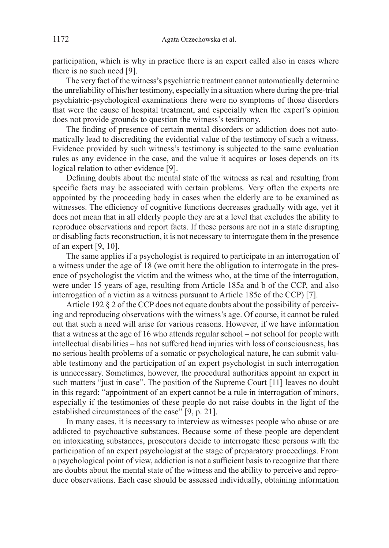participation, which is why in practice there is an expert called also in cases where there is no such need [9].

The very fact of the witness's psychiatric treatment cannot automatically determine the unreliability of his/her testimony, especially in a situation where during the pre-trial psychiatric-psychological examinations there were no symptoms of those disorders that were the cause of hospital treatment, and especially when the expert's opinion does not provide grounds to question the witness's testimony.

The finding of presence of certain mental disorders or addiction does not automatically lead to discrediting the evidential value of the testimony of such a witness. Evidence provided by such witness's testimony is subjected to the same evaluation rules as any evidence in the case, and the value it acquires or loses depends on its logical relation to other evidence [9].

Defining doubts about the mental state of the witness as real and resulting from specific facts may be associated with certain problems. Very often the experts are appointed by the proceeding body in cases when the elderly are to be examined as witnesses. The efficiency of cognitive functions decreases gradually with age, yet it does not mean that in all elderly people they are at a level that excludes the ability to reproduce observations and report facts. If these persons are not in a state disrupting or disabling facts reconstruction, it is not necessary to interrogate them in the presence of an expert [9, 10].

The same applies if a psychologist is required to participate in an interrogation of a witness under the age of 18 (we omit here the obligation to interrogate in the presence of psychologist the victim and the witness who, at the time of the interrogation, were under 15 years of age, resulting from Article 185a and b of the CCP, and also interrogation of a victim as a witness pursuant to Article 185c of the CCP) [7].

Article 192 § 2 of the CCP does not equate doubts about the possibility of perceiving and reproducing observations with the witness's age. Of course, it cannot be ruled out that such a need will arise for various reasons. However, if we have information that a witness at the age of 16 who attends regular school – not school for people with intellectual disabilities – has not suffered head injuries with loss of consciousness, has no serious health problems of a somatic or psychological nature, he can submit valuable testimony and the participation of an expert psychologist in such interrogation is unnecessary. Sometimes, however, the procedural authorities appoint an expert in such matters "just in case". The position of the Supreme Court [11] leaves no doubt in this regard: "appointment of an expert cannot be a rule in interrogation of minors, especially if the testimonies of these people do not raise doubts in the light of the established circumstances of the case" [9, p. 21].

In many cases, it is necessary to interview as witnesses people who abuse or are addicted to psychoactive substances. Because some of these people are dependent on intoxicating substances, prosecutors decide to interrogate these persons with the participation of an expert psychologist at the stage of preparatory proceedings. From a psychological point of view, addiction is not a sufficient basis to recognize that there are doubts about the mental state of the witness and the ability to perceive and reproduce observations. Each case should be assessed individually, obtaining information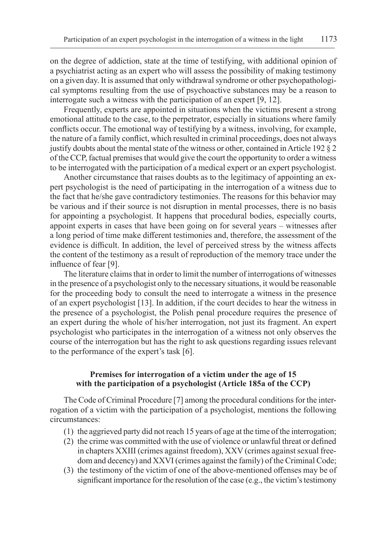on the degree of addiction, state at the time of testifying, with additional opinion of a psychiatrist acting as an expert who will assess the possibility of making testimony on a given day. It is assumed that only withdrawal syndrome or other psychopathological symptoms resulting from the use of psychoactive substances may be a reason to interrogate such a witness with the participation of an expert [9, 12].

Frequently, experts are appointed in situations when the victims present a strong emotional attitude to the case, to the perpetrator, especially in situations where family conflicts occur. The emotional way of testifying by a witness, involving, for example, the nature of a family conflict, which resulted in criminal proceedings, does not always justify doubts about the mental state of the witness or other, contained in Article 192 § 2 of the CCP, factual premises that would give the court the opportunity to order a witness to be interrogated with the participation of a medical expert or an expert psychologist.

Another circumstance that raises doubts as to the legitimacy of appointing an expert psychologist is the need of participating in the interrogation of a witness due to the fact that he/she gave contradictory testimonies. The reasons for this behavior may be various and if their source is not disruption in mental processes, there is no basis for appointing a psychologist. It happens that procedural bodies, especially courts, appoint experts in cases that have been going on for several years – witnesses after a long period of time make different testimonies and, therefore, the assessment of the evidence is difficult. In addition, the level of perceived stress by the witness affects the content of the testimony as a result of reproduction of the memory trace under the influence of fear [9].

The literature claims that in order to limit the number of interrogations of witnesses in the presence of a psychologist only to the necessary situations, it would be reasonable for the proceeding body to consult the need to interrogate a witness in the presence of an expert psychologist [13]. In addition, if the court decides to hear the witness in the presence of a psychologist, the Polish penal procedure requires the presence of an expert during the whole of his/her interrogation, not just its fragment. An expert psychologist who participates in the interrogation of a witness not only observes the course of the interrogation but has the right to ask questions regarding issues relevant to the performance of the expert's task [6].

## **Premises for interrogation of a victim under the age of 15 with the participation of a psychologist (Article 185a of the CCP)**

The Code of Criminal Procedure [7] among the procedural conditions for the interrogation of a victim with the participation of a psychologist, mentions the following circumstances:

- (1) the aggrieved party did not reach 15 years of age at the time of the interrogation;
- (2) the crime was committed with the use of violence or unlawful threat or defined in chapters XXIII (crimes against freedom), XXV (crimes against sexual freedom and decency) and XXVI (crimes against the family) of the Criminal Code;
- (3) the testimony of the victim of one of the above-mentioned offenses may be of significant importance for the resolution of the case (e.g., the victim's testimony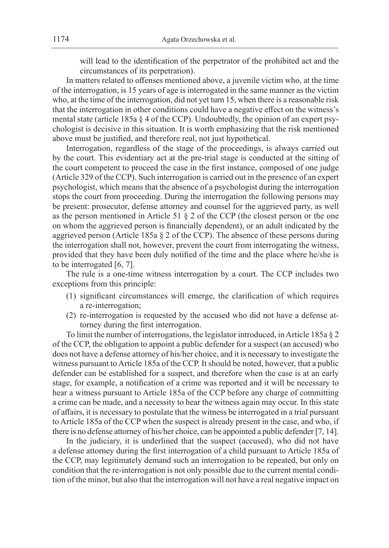will lead to the identification of the perpetrator of the prohibited act and the circumstances of its perpetration).

In matters related to offenses mentioned above, a juvenile victim who, at the time of the interrogation, is 15 years of age is interrogated in the same manner as the victim who, at the time of the interrogation, did not yet turn 15, when there is a reasonable risk that the interrogation in other conditions could have a negative effect on the witness's mental state (article 185a  $\S$  4 of the CCP). Undoubtedly, the opinion of an expert psychologist is decisive in this situation. It is worth emphasizing that the risk mentioned above must be justified, and therefore real, not just hypothetical.

Interrogation, regardless of the stage of the proceedings, is always carried out by the court. This evidentiary act at the pre-trial stage is conducted at the sitting of the court competent to proceed the case in the first instance, composed of one judge (Article 329 of the CCP). Such interrogation is carried out in the presence of an expert psychologist, which means that the absence of a psychologist during the interrogation stops the court from proceeding. During the interrogation the following persons may be present: prosecutor, defense attorney and counsel for the aggrieved party, as well as the person mentioned in Article 51 § 2 of the CCP (the closest person or the one on whom the aggrieved person is financially dependent), or an adult indicated by the aggrieved person (Article 185a § 2 of the CCP). The absence of these persons during the interrogation shall not, however, prevent the court from interrogating the witness, provided that they have been duly notified of the time and the place where he/she is to be interrogated [6, 7].

The rule is a one-time witness interrogation by a court. The CCP includes two exceptions from this principle:

- (1) significant circumstances will emerge, the clarification of which requires a re-interrogation;
- (2) re-interrogation is requested by the accused who did not have a defense attorney during the first interrogation.

To limit the number of interrogations, the legislator introduced, in Article 185a § 2 of the CCP, the obligation to appoint a public defender for a suspect (an accused) who does not have a defense attorney of his/her choice, and it is necessary to investigate the witness pursuant to Article 185a of the CCP. It should be noted, however, that a public defender can be established for a suspect, and therefore when the case is at an early stage, for example, a notification of a crime was reported and it will be necessary to hear a witness pursuant to Article 185a of the CCP before any charge of committing a crime can be made, and a necessity to hear the witness again may occur. In this state of affairs, it is necessary to postulate that the witness be interrogated in a trial pursuant to Article 185a of the CCP when the suspect is already present in the case, and who, if there is no defense attorney of his/her choice, can be appointed a public defender [7, 14].

In the judiciary, it is underlined that the suspect (accused), who did not have a defense attorney during the first interrogation of a child pursuant to Article 185a of the CCP, may legitimately demand such an interrogation to be repeated, but only on condition that the re-interrogation is not only possible due to the current mental condition of the minor, but also that the interrogation will not have a real negative impact on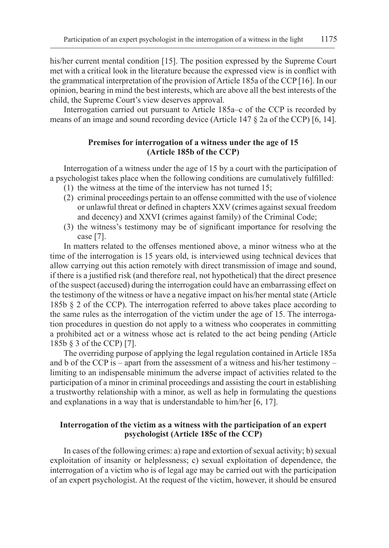his/her current mental condition [15]. The position expressed by the Supreme Court met with a critical look in the literature because the expressed view is in conflict with the grammatical interpretation of the provision of Article 185a of the CCP [16]. In our opinion, bearing in mind the best interests, which are above all the best interests of the child, the Supreme Court's view deserves approval.

Interrogation carried out pursuant to Article 185a–c of the CCP is recorded by means of an image and sound recording device (Article 147 § 2a of the CCP) [6, 14].

# **Premises for interrogation of a witness under the age of 15 (Article 185b of the CCP)**

Interrogation of a witness under the age of 15 by a court with the participation of a psychologist takes place when the following conditions are cumulatively fulfilled:

- (1) the witness at the time of the interview has not turned 15;
- (2) criminal proceedings pertain to an offense committed with the use of violence or unlawful threat or defined in chapters XXV (crimes against sexual freedom and decency) and XXVI (crimes against family) of the Criminal Code;
- (3) the witness's testimony may be of significant importance for resolving the case [7].

In matters related to the offenses mentioned above, a minor witness who at the time of the interrogation is 15 years old, is interviewed using technical devices that allow carrying out this action remotely with direct transmission of image and sound, if there is a justified risk (and therefore real, not hypothetical) that the direct presence of the suspect (accused) during the interrogation could have an embarrassing effect on the testimony of the witness or have a negative impact on his/her mental state (Article 185b § 2 of the CCP). The interrogation referred to above takes place according to the same rules as the interrogation of the victim under the age of 15. The interrogation procedures in question do not apply to a witness who cooperates in committing a prohibited act or a witness whose act is related to the act being pending (Article 185b § 3 of the CCP) [7].

The overriding purpose of applying the legal regulation contained in Article 185a and b of the CCP is – apart from the assessment of a witness and his/her testimony – limiting to an indispensable minimum the adverse impact of activities related to the participation of a minor in criminal proceedings and assisting the court in establishing a trustworthy relationship with a minor, as well as help in formulating the questions and explanations in a way that is understandable to him/her [6, 17].

# **Interrogation of the victim as a witness with the participation of an expert psychologist (Article 185c of the CCP)**

In cases of the following crimes: a) rape and extortion of sexual activity; b) sexual exploitation of insanity or helplessness; c) sexual exploitation of dependence, the interrogation of a victim who is of legal age may be carried out with the participation of an expert psychologist. At the request of the victim, however, it should be ensured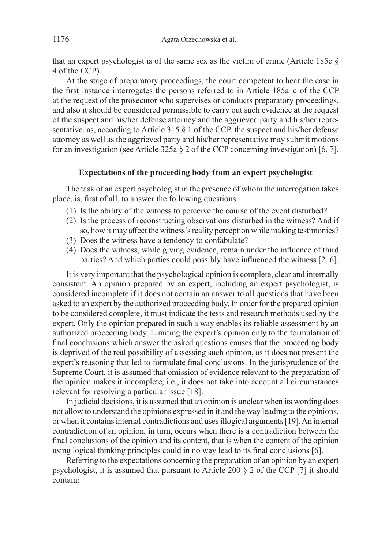that an expert psychologist is of the same sex as the victim of crime (Article 185c  $\S$ ) 4 of the CCP).

At the stage of preparatory proceedings, the court competent to hear the case in the first instance interrogates the persons referred to in Article 185a–c of the CCP at the request of the prosecutor who supervises or conducts preparatory proceedings, and also it should be considered permissible to carry out such evidence at the request of the suspect and his/her defense attorney and the aggrieved party and his/her representative, as, according to Article 315  $\S$  1 of the CCP, the suspect and his/her defense attorney as well as the aggrieved party and his/her representative may submit motions for an investigation (see Article 325a § 2 of the CCP concerning investigation) [6, 7].

# **Expectations of the proceeding body from an expert psychologist**

The task of an expert psychologist in the presence of whom the interrogation takes place, is, first of all, to answer the following questions:

- (1) Is the ability of the witness to perceive the course of the event disturbed?
- (2) Is the process of reconstructing observations disturbed in the witness? And if so, how it may affect the witness's reality perception while making testimonies?
- (3) Does the witness have a tendency to confabulate?
- (4) Does the witness, while giving evidence, remain under the influence of third parties? And which parties could possibly have influenced the witness [2, 6].

It is very important that the psychological opinion is complete, clear and internally consistent. An opinion prepared by an expert, including an expert psychologist, is considered incomplete if it does not contain an answer to all questions that have been asked to an expert by the authorized proceeding body. In order for the prepared opinion to be considered complete, it must indicate the tests and research methods used by the expert. Only the opinion prepared in such a way enables its reliable assessment by an authorized proceeding body. Limiting the expert's opinion only to the formulation of final conclusions which answer the asked questions causes that the proceeding body is deprived of the real possibility of assessing such opinion, as it does not present the expert's reasoning that led to formulate final conclusions. In the jurisprudence of the Supreme Court, it is assumed that omission of evidence relevant to the preparation of the opinion makes it incomplete, i.e., it does not take into account all circumstances relevant for resolving a particular issue [18].

In judicial decisions, it is assumed that an opinion is unclear when its wording does not allow to understand the opinions expressed in it and the way leading to the opinions, or when it contains internal contradictions and uses illogical arguments [19]. An internal contradiction of an opinion, in turn, occurs when there is a contradiction between the final conclusions of the opinion and its content, that is when the content of the opinion using logical thinking principles could in no way lead to its final conclusions [6].

Referring to the expectations concerning the preparation of an opinion by an expert psychologist, it is assumed that pursuant to Article 200 § 2 of the CCP [7] it should contain: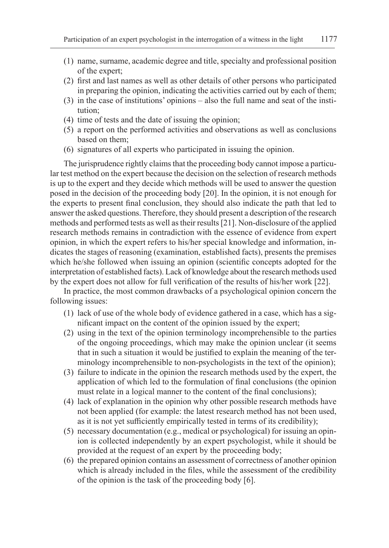- (1) name, surname, academic degree and title, specialty and professional position of the expert;
- (2) first and last names as well as other details of other persons who participated in preparing the opinion, indicating the activities carried out by each of them;
- (3) in the case of institutions' opinions also the full name and seat of the institution;
- (4) time of tests and the date of issuing the opinion;
- (5) a report on the performed activities and observations as well as conclusions based on them;
- (6) signatures of all experts who participated in issuing the opinion.

The jurisprudence rightly claims that the proceeding body cannot impose a particular test method on the expert because the decision on the selection of research methods is up to the expert and they decide which methods will be used to answer the question posed in the decision of the proceeding body [20]. In the opinion, it is not enough for the experts to present final conclusion, they should also indicate the path that led to answer the asked questions. Therefore, they should present a description of the research methods and performed tests as well as their results [21]. Non-disclosure of the applied research methods remains in contradiction with the essence of evidence from expert opinion, in which the expert refers to his/her special knowledge and information, indicates the stages of reasoning (examination, established facts), presents the premises which he/she followed when issuing an opinion (scientific concepts adopted for the interpretation of established facts). Lack of knowledge about the research methods used by the expert does not allow for full verification of the results of his/her work [22].

In practice, the most common drawbacks of a psychological opinion concern the following issues:

- (1) lack of use of the whole body of evidence gathered in a case, which has a significant impact on the content of the opinion issued by the expert;
- (2) using in the text of the opinion terminology incomprehensible to the parties of the ongoing proceedings, which may make the opinion unclear (it seems that in such a situation it would be justified to explain the meaning of the terminology incomprehensible to non-psychologists in the text of the opinion);
- (3) failure to indicate in the opinion the research methods used by the expert, the application of which led to the formulation of final conclusions (the opinion must relate in a logical manner to the content of the final conclusions);
- (4) lack of explanation in the opinion why other possible research methods have not been applied (for example: the latest research method has not been used, as it is not yet sufficiently empirically tested in terms of its credibility);
- (5) necessary documentation (e.g., medical or psychological) for issuing an opinion is collected independently by an expert psychologist, while it should be provided at the request of an expert by the proceeding body;
- (6) the prepared opinion contains an assessment of correctness of another opinion which is already included in the files, while the assessment of the credibility of the opinion is the task of the proceeding body [6].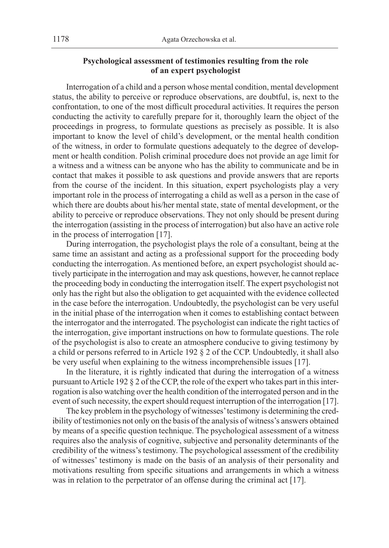# **Psychological assessment of testimonies resulting from the role of an expert psychologist**

Interrogation of a child and a person whose mental condition, mental development status, the ability to perceive or reproduce observations, are doubtful, is, next to the confrontation, to one of the most difficult procedural activities. It requires the person conducting the activity to carefully prepare for it, thoroughly learn the object of the proceedings in progress, to formulate questions as precisely as possible. It is also important to know the level of child's development, or the mental health condition of the witness, in order to formulate questions adequately to the degree of development or health condition. Polish criminal procedure does not provide an age limit for a witness and a witness can be anyone who has the ability to communicate and be in contact that makes it possible to ask questions and provide answers that are reports from the course of the incident. In this situation, expert psychologists play a very important role in the process of interrogating a child as well as a person in the case of which there are doubts about his/her mental state, state of mental development, or the ability to perceive or reproduce observations. They not only should be present during the interrogation (assisting in the process of interrogation) but also have an active role in the process of interrogation [17].

During interrogation, the psychologist plays the role of a consultant, being at the same time an assistant and acting as a professional support for the proceeding body conducting the interrogation. As mentioned before, an expert psychologist should actively participate in the interrogation and may ask questions, however, he cannot replace the proceeding body in conducting the interrogation itself. The expert psychologist not only has the right but also the obligation to get acquainted with the evidence collected in the case before the interrogation. Undoubtedly, the psychologist can be very useful in the initial phase of the interrogation when it comes to establishing contact between the interrogator and the interrogated. The psychologist can indicate the right tactics of the interrogation, give important instructions on how to formulate questions. The role of the psychologist is also to create an atmosphere conducive to giving testimony by a child or persons referred to in Article 192 § 2 of the CCP. Undoubtedly, it shall also be very useful when explaining to the witness incomprehensible issues [17].

In the literature, it is rightly indicated that during the interrogation of a witness pursuant to Article 192 § 2 of the CCP, the role of the expert who takes part in this interrogation is also watching over the health condition of the interrogated person and in the event of such necessity, the expert should request interruption of the interrogation [17].

The key problem in the psychology of witnesses' testimony is determining the credibility of testimonies not only on the basis of the analysis of witness's answers obtained by means of a specific question technique. The psychological assessment of a witness requires also the analysis of cognitive, subjective and personality determinants of the credibility of the witness's testimony. The psychological assessment of the credibility of witnesses' testimony is made on the basis of an analysis of their personality and motivations resulting from specific situations and arrangements in which a witness was in relation to the perpetrator of an offense during the criminal act [17].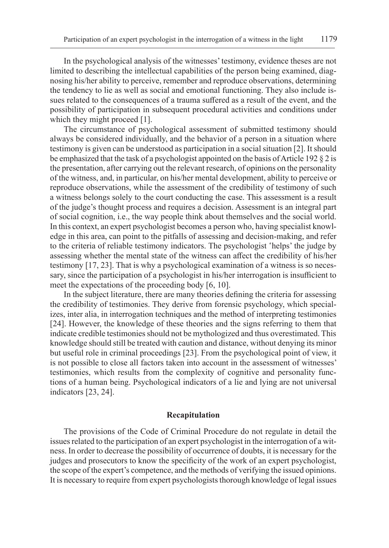In the psychological analysis of the witnesses' testimony, evidence theses are not limited to describing the intellectual capabilities of the person being examined, diagnosing his/her ability to perceive, remember and reproduce observations, determining the tendency to lie as well as social and emotional functioning. They also include issues related to the consequences of a trauma suffered as a result of the event, and the possibility of participation in subsequent procedural activities and conditions under which they might proceed [1].

The circumstance of psychological assessment of submitted testimony should always be considered individually, and the behavior of a person in a situation where testimony is given can be understood as participation in a social situation [2]. It should be emphasized that the task of a psychologist appointed on the basis of Article 192 § 2 is the presentation, after carrying out the relevant research, of opinions on the personality of the witness, and, in particular, on his/her mental development, ability to perceive or reproduce observations, while the assessment of the credibility of testimony of such a witness belongs solely to the court conducting the case. This assessment is a result of the judge's thought process and requires a decision. Assessment is an integral part of social cognition, i.e., the way people think about themselves and the social world. In this context, an expert psychologist becomes a person who, having specialist knowledge in this area, can point to the pitfalls of assessing and decision-making, and refer to the criteria of reliable testimony indicators. The psychologist 'helps' the judge by assessing whether the mental state of the witness can affect the credibility of his/her testimony [17, 23]. That is why a psychological examination of a witness is so necessary, since the participation of a psychologist in his/her interrogation is insufficient to meet the expectations of the proceeding body [6, 10].

In the subject literature, there are many theories defining the criteria for assessing the credibility of testimonies. They derive from forensic psychology, which specializes, inter alia, in interrogation techniques and the method of interpreting testimonies [24]. However, the knowledge of these theories and the signs referring to them that indicate credible testimonies should not be mythologized and thus overestimated. This knowledge should still be treated with caution and distance, without denying its minor but useful role in criminal proceedings [23]. From the psychological point of view, it is not possible to close all factors taken into account in the assessment of witnesses' testimonies, which results from the complexity of cognitive and personality functions of a human being. Psychological indicators of a lie and lying are not universal indicators [23, 24].

#### **Recapitulation**

The provisions of the Code of Criminal Procedure do not regulate in detail the issues related to the participation of an expert psychologist in the interrogation of a witness. In order to decrease the possibility of occurrence of doubts, it is necessary for the judges and prosecutors to know the specificity of the work of an expert psychologist, the scope of the expert's competence, and the methods of verifying the issued opinions. It is necessary to require from expert psychologists thorough knowledge of legal issues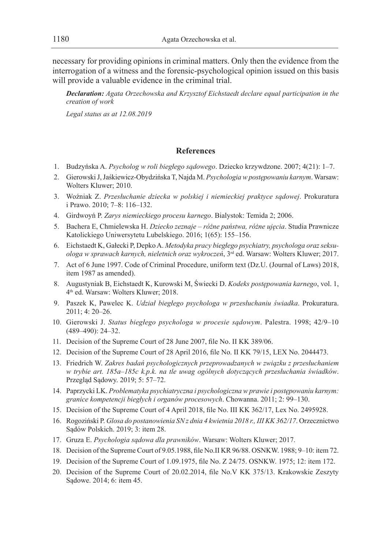necessary for providing opinions in criminal matters. Only then the evidence from the interrogation of a witness and the forensic-psychological opinion issued on this basis will provide a valuable evidence in the criminal trial.

*Declaration: Agata Orzechowska and Krzysztof Eichstaedt declare equal participation in the creation of work*

*Legal status as at 12.08.2019*

# **References**

- 1. Budzyńska A. *Psycholog w roli biegłego sądowego*. Dziecko krzywdzone. 2007; 4(21): 1–7.
- 2. Gierowski J, Jaśkiewicz-Obydzińska T, Najda M. *Psychologia w postępowaniu karnym*. Warsaw: Wolters Kluwer; 2010.
- 3. Woźniak Z. *Przesłuchanie dziecka w polskiej i niemieckiej praktyce sądowej*. Prokuratura i Prawo. 2010; 7–8: 116–132.
- 4. Girdwoyń P. *Zarys niemieckiego procesu karnego*. Bialystok: Temida 2; 2006.
- 5. Bachera E, Chmielewska H. *Dziecko zeznaje różne państwa, różne ujęcia*. Studia Prawnicze Katolickiego Uniwersytetu Lubelskiego. 2016; 1(65): 155–156.
- 6. Eichstaedt K, Gałecki P, Depko A. *Metodyka pracy biegłego psychiatry, psychologa oraz seksuologa w sprawach karnych, nieletnich oraz wykroczeń*, 3rd ed. Warsaw: Wolters Kluwer; 2017.
- 7. Act of 6 June 1997. Code of Criminal Procedure, uniform text (Dz.U. (Journal of Laws) 2018, item 1987 as amended).
- 8. Augustyniak B, Eichstaedt K, Kurowski M, Świecki D. *Kodeks postępowania karnego*, vol. 1, 4th ed. Warsaw: Wolters Kluwer; 2018.
- 9. Paszek K, Pawelec K. *Udział biegłego psychologa w przesłuchaniu świadka*. Prokuratura. 2011; 4: 20–26.
- 10. Gierowski J. *Status biegłego psychologa w procesie sądowym*. Palestra. 1998; 42/9–10 (489–490): 24–32.
- 11. Decision of the Supreme Court of 28 June 2007, file No. II KK 389/06.
- 12. Decision of the Supreme Court of 28 April 2016, file No. II KK 79/15, LEX No. 2044473.
- 13. Friedrich W. *Zakres badań psychologicznych przeprowadzanych w związku z przesłuchaniem w trybie art. 185a–185c k.p.k. na tle uwag ogólnych dotyczących przesłuchania świadków*. Przegląd Sądowy. 2019; 5: 57–72.
- 14. Paprzycki LK. *Problematyka psychiatryczna i psychologiczna w prawie i postępowaniu karnym: granice kompetencji biegłych i organów procesowych*. Chowanna. 2011; 2: 99–130.
- 15. Decision of the Supreme Court of 4 April 2018, file No. III KK 362/17, Lex No. 2495928.
- 16. Rogoziński P. *Glosa do postanowienia SN z dnia 4 kwietnia 2018 r., III KK 362/17*. Orzecznictwo Sądów Polskich. 2019; 3: item 28.
- 17. Gruza E. *Psychologia sądowa dla prawników*. Warsaw: Wolters Kluwer; 2017.
- 18. Decision of the Supreme Court of 9.05.1988, file No.II KR 96/88. OSNKW. 1988; 9–10: item 72.
- 19. Decision of the Supreme Court of 1.09.1975, file No. Z 24/75. OSNKW. 1975; 12: item 172.
- 20. Decision of the Supreme Court of 20.02.2014, file No.V KK 375/13. Krakowskie Zeszyty Sądowe. 2014; 6: item 45.